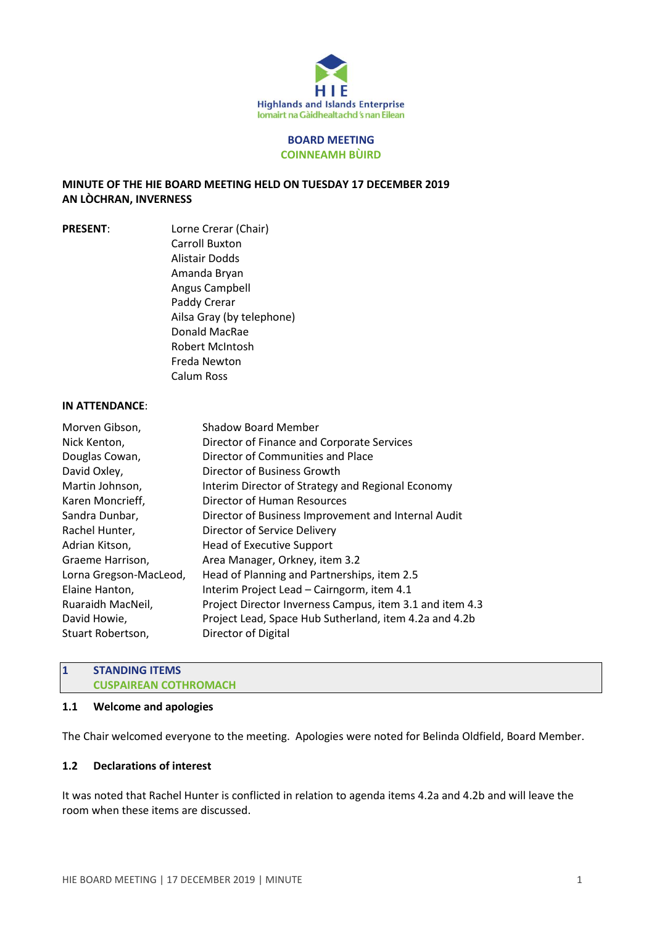

#### **BOARD MEETING COINNEAMH BÙIRD**

## **MINUTE OF THE HIE BOARD MEETING HELD ON TUESDAY 17 DECEMBER 2019 AN LÒCHRAN, INVERNESS**

**PRESENT**: Lorne Crerar (Chair) Carroll Buxton Alistair Dodds Amanda Bryan Angus Campbell Paddy Crerar Ailsa Gray (by telephone) Donald MacRae Robert McIntosh Freda Newton Calum Ross

#### **IN ATTENDANCE**:

| Morven Gibson,         | <b>Shadow Board Member</b>                               |
|------------------------|----------------------------------------------------------|
| Nick Kenton,           | Director of Finance and Corporate Services               |
| Douglas Cowan,         | Director of Communities and Place                        |
| David Oxley,           | Director of Business Growth                              |
| Martin Johnson,        | Interim Director of Strategy and Regional Economy        |
| Karen Moncrieff,       | Director of Human Resources                              |
| Sandra Dunbar,         | Director of Business Improvement and Internal Audit      |
| Rachel Hunter,         | Director of Service Delivery                             |
| Adrian Kitson,         | <b>Head of Executive Support</b>                         |
| Graeme Harrison,       | Area Manager, Orkney, item 3.2                           |
| Lorna Gregson-MacLeod, | Head of Planning and Partnerships, item 2.5              |
| Elaine Hanton,         | Interim Project Lead - Cairngorm, item 4.1               |
| Ruaraidh MacNeil,      | Project Director Inverness Campus, item 3.1 and item 4.3 |
| David Howie,           | Project Lead, Space Hub Sutherland, item 4.2a and 4.2b   |
| Stuart Robertson,      | Director of Digital                                      |
|                        |                                                          |

# **1 STANDING ITEMS CUSPAIREAN COTHROMACH**

#### **1.1 Welcome and apologies**

The Chair welcomed everyone to the meeting. Apologies were noted for Belinda Oldfield, Board Member.

# **1.2 Declarations of interest**

It was noted that Rachel Hunter is conflicted in relation to agenda items 4.2a and 4.2b and will leave the room when these items are discussed.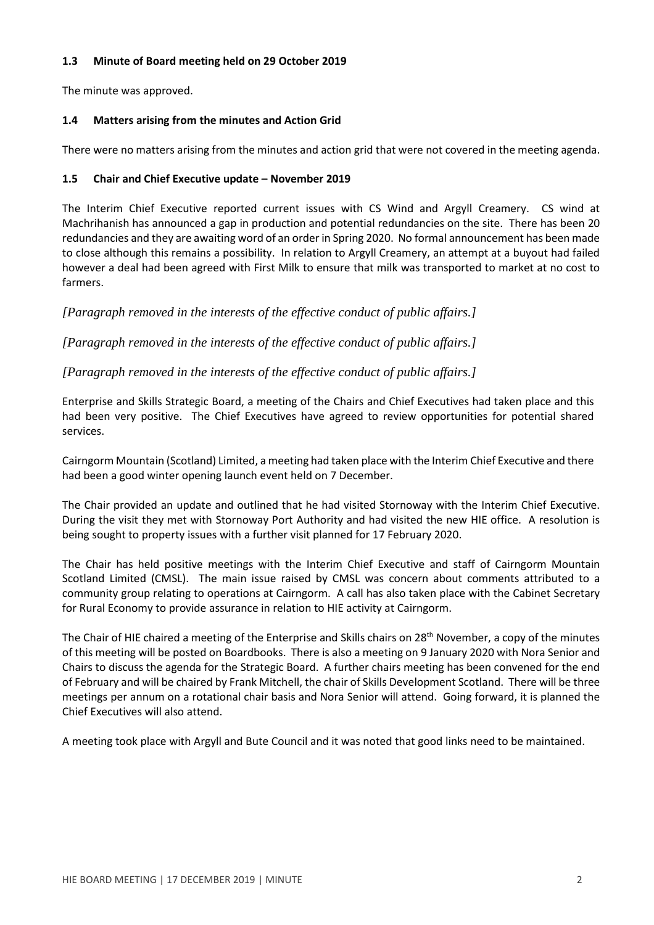# **1.3 Minute of Board meeting held on 29 October 2019**

The minute was approved.

# **1.4 Matters arising from the minutes and Action Grid**

There were no matters arising from the minutes and action grid that were not covered in the meeting agenda.

# **1.5 Chair and Chief Executive update – November 2019**

The Interim Chief Executive reported current issues with CS Wind and Argyll Creamery. CS wind at Machrihanish has announced a gap in production and potential redundancies on the site. There has been 20 redundancies and they are awaiting word of an order in Spring 2020. No formal announcement has been made to close although this remains a possibility. In relation to Argyll Creamery, an attempt at a buyout had failed however a deal had been agreed with First Milk to ensure that milk was transported to market at no cost to farmers.

*[Paragraph removed in the interests of the effective conduct of public affairs.]*

*[Paragraph removed in the interests of the effective conduct of public affairs.]*

*[Paragraph removed in the interests of the effective conduct of public affairs.]*

Enterprise and Skills Strategic Board, a meeting of the Chairs and Chief Executives had taken place and this had been very positive. The Chief Executives have agreed to review opportunities for potential shared services.

Cairngorm Mountain (Scotland) Limited, a meeting had taken place with the Interim Chief Executive and there had been a good winter opening launch event held on 7 December.

The Chair provided an update and outlined that he had visited Stornoway with the Interim Chief Executive. During the visit they met with Stornoway Port Authority and had visited the new HIE office. A resolution is being sought to property issues with a further visit planned for 17 February 2020.

The Chair has held positive meetings with the Interim Chief Executive and staff of Cairngorm Mountain Scotland Limited (CMSL). The main issue raised by CMSL was concern about comments attributed to a community group relating to operations at Cairngorm. A call has also taken place with the Cabinet Secretary for Rural Economy to provide assurance in relation to HIE activity at Cairngorm.

The Chair of HIE chaired a meeting of the Enterprise and Skills chairs on 28th November, a copy of the minutes of this meeting will be posted on Boardbooks. There is also a meeting on 9 January 2020 with Nora Senior and Chairs to discuss the agenda for the Strategic Board. A further chairs meeting has been convened for the end of February and will be chaired by Frank Mitchell, the chair of Skills Development Scotland. There will be three meetings per annum on a rotational chair basis and Nora Senior will attend. Going forward, it is planned the Chief Executives will also attend.

A meeting took place with Argyll and Bute Council and it was noted that good links need to be maintained.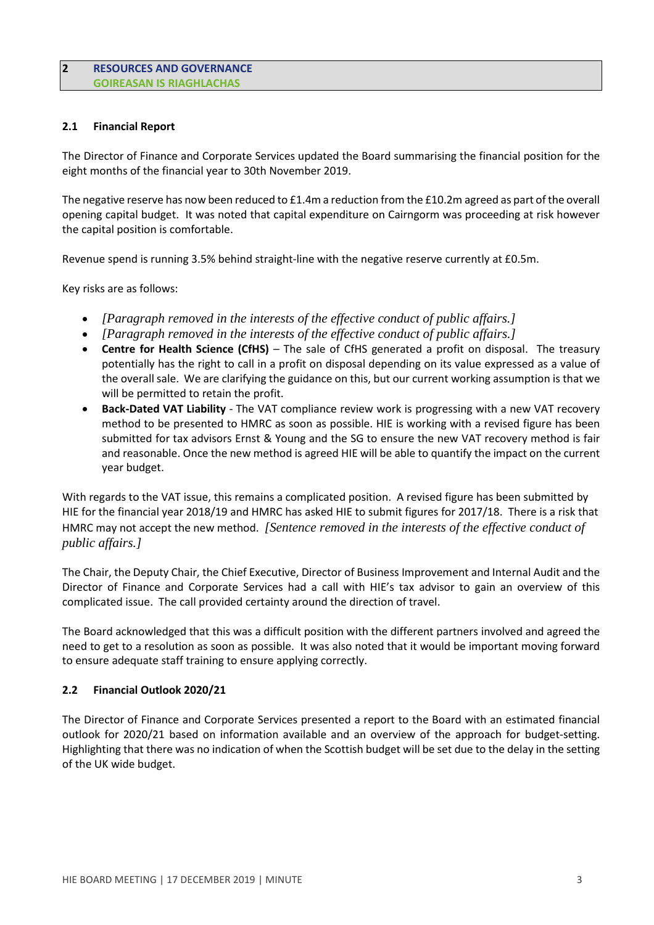### **2 RESOURCES AND GOVERNANCE GOIREASAN IS RIAGHLACHAS**

### **2.1 Financial Report**

The Director of Finance and Corporate Services updated the Board summarising the financial position for the eight months of the financial year to 30th November 2019.

The negative reserve has now been reduced to £1.4m a reduction from the £10.2m agreed as part of the overall opening capital budget. It was noted that capital expenditure on Cairngorm was proceeding at risk however the capital position is comfortable.

Revenue spend is running 3.5% behind straight-line with the negative reserve currently at £0.5m.

Key risks are as follows:

- *[Paragraph removed in the interests of the effective conduct of public affairs.]*
- *[Paragraph removed in the interests of the effective conduct of public affairs.]*
- **Centre for Health Science (CfHS)** The sale of CfHS generated a profit on disposal. The treasury potentially has the right to call in a profit on disposal depending on its value expressed as a value of the overall sale. We are clarifying the guidance on this, but our current working assumption is that we will be permitted to retain the profit.
- **Back-Dated VAT Liability** The VAT compliance review work is progressing with a new VAT recovery method to be presented to HMRC as soon as possible. HIE is working with a revised figure has been submitted for tax advisors Ernst & Young and the SG to ensure the new VAT recovery method is fair and reasonable. Once the new method is agreed HIE will be able to quantify the impact on the current year budget.

With regards to the VAT issue, this remains a complicated position. A revised figure has been submitted by HIE for the financial year 2018/19 and HMRC has asked HIE to submit figures for 2017/18. There is a risk that HMRC may not accept the new method. *[Sentence removed in the interests of the effective conduct of public affairs.]*

The Chair, the Deputy Chair, the Chief Executive, Director of Business Improvement and Internal Audit and the Director of Finance and Corporate Services had a call with HIE's tax advisor to gain an overview of this complicated issue. The call provided certainty around the direction of travel.

The Board acknowledged that this was a difficult position with the different partners involved and agreed the need to get to a resolution as soon as possible. It was also noted that it would be important moving forward to ensure adequate staff training to ensure applying correctly.

#### **2.2 Financial Outlook 2020/21**

The Director of Finance and Corporate Services presented a report to the Board with an estimated financial outlook for 2020/21 based on information available and an overview of the approach for budget-setting. Highlighting that there was no indication of when the Scottish budget will be set due to the delay in the setting of the UK wide budget.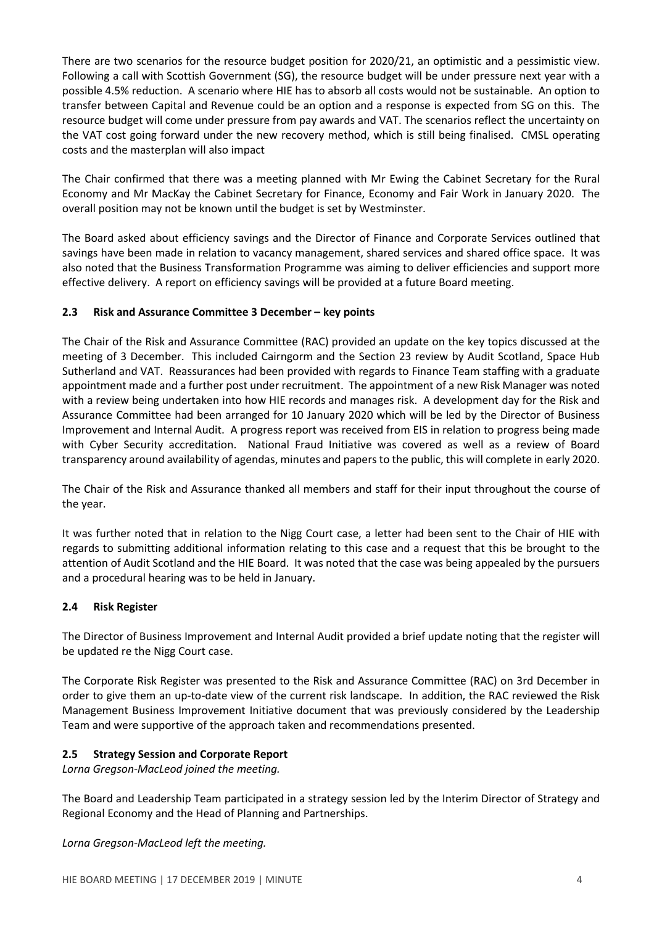There are two scenarios for the resource budget position for 2020/21, an optimistic and a pessimistic view. Following a call with Scottish Government (SG), the resource budget will be under pressure next year with a possible 4.5% reduction. A scenario where HIE has to absorb all costs would not be sustainable. An option to transfer between Capital and Revenue could be an option and a response is expected from SG on this. The resource budget will come under pressure from pay awards and VAT. The scenarios reflect the uncertainty on the VAT cost going forward under the new recovery method, which is still being finalised. CMSL operating costs and the masterplan will also impact

The Chair confirmed that there was a meeting planned with Mr Ewing the Cabinet Secretary for the Rural Economy and Mr MacKay the Cabinet Secretary for Finance, Economy and Fair Work in January 2020. The overall position may not be known until the budget is set by Westminster.

The Board asked about efficiency savings and the Director of Finance and Corporate Services outlined that savings have been made in relation to vacancy management, shared services and shared office space. It was also noted that the Business Transformation Programme was aiming to deliver efficiencies and support more effective delivery. A report on efficiency savings will be provided at a future Board meeting.

# **2.3 Risk and Assurance Committee 3 December – key points**

The Chair of the Risk and Assurance Committee (RAC) provided an update on the key topics discussed at the meeting of 3 December. This included Cairngorm and the Section 23 review by Audit Scotland, Space Hub Sutherland and VAT. Reassurances had been provided with regards to Finance Team staffing with a graduate appointment made and a further post under recruitment. The appointment of a new Risk Manager was noted with a review being undertaken into how HIE records and manages risk. A development day for the Risk and Assurance Committee had been arranged for 10 January 2020 which will be led by the Director of Business Improvement and Internal Audit. A progress report was received from EIS in relation to progress being made with Cyber Security accreditation. National Fraud Initiative was covered as well as a review of Board transparency around availability of agendas, minutes and papers to the public, this will complete in early 2020.

The Chair of the Risk and Assurance thanked all members and staff for their input throughout the course of the year.

It was further noted that in relation to the Nigg Court case, a letter had been sent to the Chair of HIE with regards to submitting additional information relating to this case and a request that this be brought to the attention of Audit Scotland and the HIE Board. It was noted that the case was being appealed by the pursuers and a procedural hearing was to be held in January.

#### **2.4 Risk Register**

The Director of Business Improvement and Internal Audit provided a brief update noting that the register will be updated re the Nigg Court case.

The Corporate Risk Register was presented to the Risk and Assurance Committee (RAC) on 3rd December in order to give them an up-to-date view of the current risk landscape. In addition, the RAC reviewed the Risk Management Business Improvement Initiative document that was previously considered by the Leadership Team and were supportive of the approach taken and recommendations presented.

#### **2.5 Strategy Session and Corporate Report**

*Lorna Gregson-MacLeod joined the meeting.*

The Board and Leadership Team participated in a strategy session led by the Interim Director of Strategy and Regional Economy and the Head of Planning and Partnerships.

*Lorna Gregson-MacLeod left the meeting.*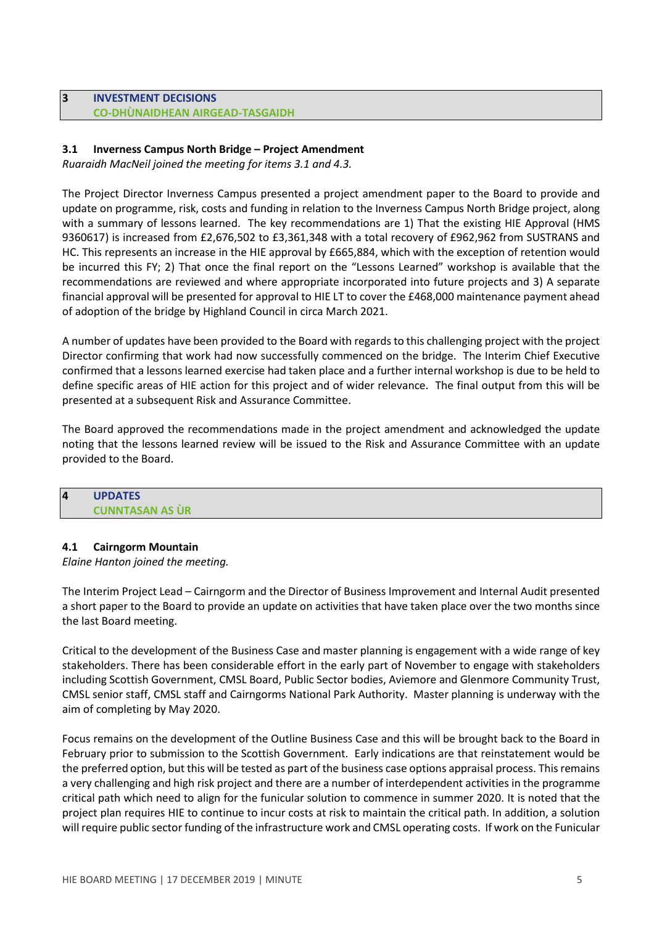# **3 INVESTMENT DECISIONS CO-DHÙNAIDHEAN AIRGEAD-TASGAIDH**

# **3.1 Inverness Campus North Bridge – Project Amendment**

*Ruaraidh MacNeil joined the meeting for items 3.1 and 4.3.*

The Project Director Inverness Campus presented a project amendment paper to the Board to provide and update on programme, risk, costs and funding in relation to the Inverness Campus North Bridge project, along with a summary of lessons learned. The key recommendations are 1) That the existing HIE Approval (HMS 9360617) is increased from £2,676,502 to £3,361,348 with a total recovery of £962,962 from SUSTRANS and HC. This represents an increase in the HIE approval by £665,884, which with the exception of retention would be incurred this FY; 2) That once the final report on the "Lessons Learned" workshop is available that the recommendations are reviewed and where appropriate incorporated into future projects and 3) A separate financial approval will be presented for approval to HIE LT to cover the £468,000 maintenance payment ahead of adoption of the bridge by Highland Council in circa March 2021.

A number of updates have been provided to the Board with regardsto this challenging project with the project Director confirming that work had now successfully commenced on the bridge. The Interim Chief Executive confirmed that a lessons learned exercise had taken place and a further internal workshop is due to be held to define specific areas of HIE action for this project and of wider relevance. The final output from this will be presented at a subsequent Risk and Assurance Committee.

The Board approved the recommendations made in the project amendment and acknowledged the update noting that the lessons learned review will be issued to the Risk and Assurance Committee with an update provided to the Board.

# **4 UPDATES CUNNTASAN AS ÙR**

#### **4.1 Cairngorm Mountain**

*Elaine Hanton joined the meeting.*

The Interim Project Lead – Cairngorm and the Director of Business Improvement and Internal Audit presented a short paper to the Board to provide an update on activities that have taken place over the two months since the last Board meeting.

Critical to the development of the Business Case and master planning is engagement with a wide range of key stakeholders. There has been considerable effort in the early part of November to engage with stakeholders including Scottish Government, CMSL Board, Public Sector bodies, Aviemore and Glenmore Community Trust, CMSL senior staff, CMSL staff and Cairngorms National Park Authority. Master planning is underway with the aim of completing by May 2020.

Focus remains on the development of the Outline Business Case and this will be brought back to the Board in February prior to submission to the Scottish Government. Early indications are that reinstatement would be the preferred option, but this will be tested as part of the business case options appraisal process. This remains a very challenging and high risk project and there are a number of interdependent activities in the programme critical path which need to align for the funicular solution to commence in summer 2020. It is noted that the project plan requires HIE to continue to incur costs at risk to maintain the critical path. In addition, a solution will require public sector funding of the infrastructure work and CMSL operating costs. If work on the Funicular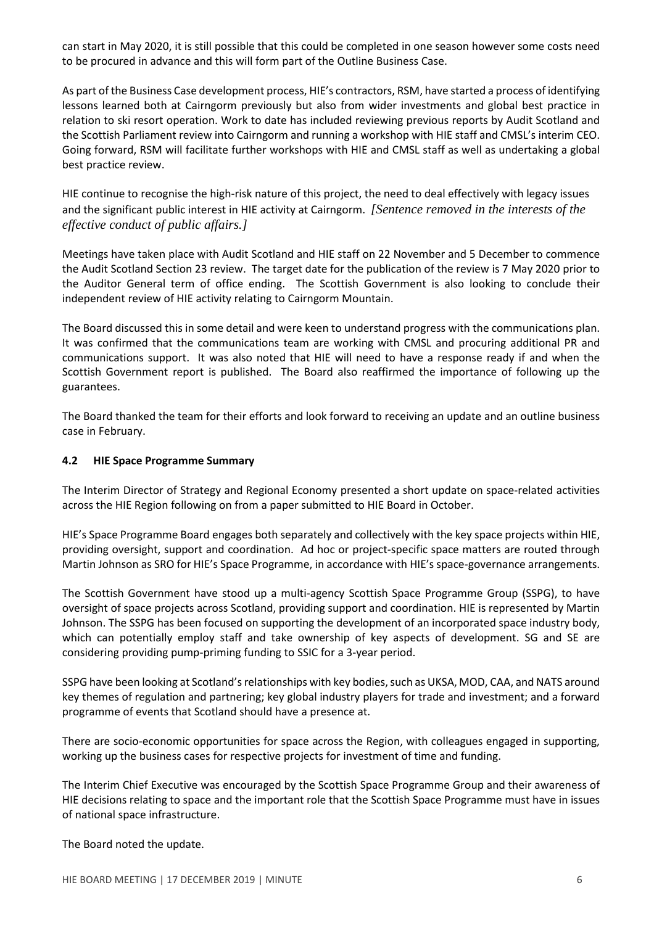can start in May 2020, it is still possible that this could be completed in one season however some costs need to be procured in advance and this will form part of the Outline Business Case.

As part of the Business Case development process, HIE's contractors, RSM, have started a process of identifying lessons learned both at Cairngorm previously but also from wider investments and global best practice in relation to ski resort operation. Work to date has included reviewing previous reports by Audit Scotland and the Scottish Parliament review into Cairngorm and running a workshop with HIE staff and CMSL's interim CEO. Going forward, RSM will facilitate further workshops with HIE and CMSL staff as well as undertaking a global best practice review.

HIE continue to recognise the high-risk nature of this project, the need to deal effectively with legacy issues and the significant public interest in HIE activity at Cairngorm. *[Sentence removed in the interests of the effective conduct of public affairs.]*

Meetings have taken place with Audit Scotland and HIE staff on 22 November and 5 December to commence the Audit Scotland Section 23 review. The target date for the publication of the review is 7 May 2020 prior to the Auditor General term of office ending. The Scottish Government is also looking to conclude their independent review of HIE activity relating to Cairngorm Mountain.

The Board discussed this in some detail and were keen to understand progress with the communications plan. It was confirmed that the communications team are working with CMSL and procuring additional PR and communications support. It was also noted that HIE will need to have a response ready if and when the Scottish Government report is published. The Board also reaffirmed the importance of following up the guarantees.

The Board thanked the team for their efforts and look forward to receiving an update and an outline business case in February.

# **4.2 HIE Space Programme Summary**

The Interim Director of Strategy and Regional Economy presented a short update on space-related activities across the HIE Region following on from a paper submitted to HIE Board in October.

HIE's Space Programme Board engages both separately and collectively with the key space projects within HIE, providing oversight, support and coordination. Ad hoc or project-specific space matters are routed through Martin Johnson as SRO for HIE's Space Programme, in accordance with HIE's space-governance arrangements.

The Scottish Government have stood up a multi-agency Scottish Space Programme Group (SSPG), to have oversight of space projects across Scotland, providing support and coordination. HIE is represented by Martin Johnson. The SSPG has been focused on supporting the development of an incorporated space industry body, which can potentially employ staff and take ownership of key aspects of development. SG and SE are considering providing pump-priming funding to SSIC for a 3-year period.

SSPG have been looking at Scotland's relationships with key bodies, such as UKSA, MOD, CAA, and NATS around key themes of regulation and partnering; key global industry players for trade and investment; and a forward programme of events that Scotland should have a presence at.

There are socio-economic opportunities for space across the Region, with colleagues engaged in supporting, working up the business cases for respective projects for investment of time and funding.

The Interim Chief Executive was encouraged by the Scottish Space Programme Group and their awareness of HIE decisions relating to space and the important role that the Scottish Space Programme must have in issues of national space infrastructure.

The Board noted the update.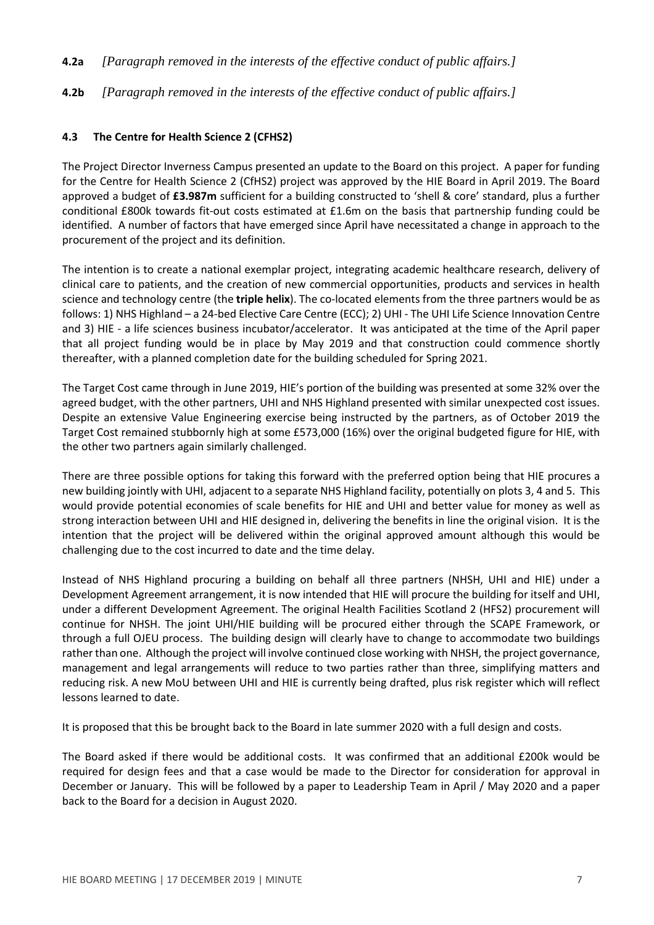- **4.2a** *[Paragraph removed in the interests of the effective conduct of public affairs.]*
- **4.2b** *[Paragraph removed in the interests of the effective conduct of public affairs.]*

# **4.3 The Centre for Health Science 2 (CFHS2)**

The Project Director Inverness Campus presented an update to the Board on this project. A paper for funding for the Centre for Health Science 2 (CfHS2) project was approved by the HIE Board in April 2019. The Board approved a budget of **£3.987m** sufficient for a building constructed to 'shell & core' standard, plus a further conditional £800k towards fit-out costs estimated at £1.6m on the basis that partnership funding could be identified. A number of factors that have emerged since April have necessitated a change in approach to the procurement of the project and its definition.

The intention is to create a national exemplar project, integrating academic healthcare research, delivery of clinical care to patients, and the creation of new commercial opportunities, products and services in health science and technology centre (the **triple helix**). The co-located elements from the three partners would be as follows: 1) NHS Highland – a 24-bed Elective Care Centre (ECC); 2) UHI - The UHI Life Science Innovation Centre and 3) HIE - a life sciences business incubator/accelerator. It was anticipated at the time of the April paper that all project funding would be in place by May 2019 and that construction could commence shortly thereafter, with a planned completion date for the building scheduled for Spring 2021.

The Target Cost came through in June 2019, HIE's portion of the building was presented at some 32% over the agreed budget, with the other partners, UHI and NHS Highland presented with similar unexpected cost issues. Despite an extensive Value Engineering exercise being instructed by the partners, as of October 2019 the Target Cost remained stubbornly high at some £573,000 (16%) over the original budgeted figure for HIE, with the other two partners again similarly challenged.

There are three possible options for taking this forward with the preferred option being that HIE procures a new building jointly with UHI, adjacent to a separate NHS Highland facility, potentially on plots 3, 4 and 5. This would provide potential economies of scale benefits for HIE and UHI and better value for money as well as strong interaction between UHI and HIE designed in, delivering the benefits in line the original vision. It is the intention that the project will be delivered within the original approved amount although this would be challenging due to the cost incurred to date and the time delay.

Instead of NHS Highland procuring a building on behalf all three partners (NHSH, UHI and HIE) under a Development Agreement arrangement, it is now intended that HIE will procure the building for itself and UHI, under a different Development Agreement. The original Health Facilities Scotland 2 (HFS2) procurement will continue for NHSH. The joint UHI/HIE building will be procured either through the SCAPE Framework, or through a full OJEU process. The building design will clearly have to change to accommodate two buildings rather than one. Although the project will involve continued close working with NHSH, the project governance, management and legal arrangements will reduce to two parties rather than three, simplifying matters and reducing risk. A new MoU between UHI and HIE is currently being drafted, plus risk register which will reflect lessons learned to date.

It is proposed that this be brought back to the Board in late summer 2020 with a full design and costs.

The Board asked if there would be additional costs. It was confirmed that an additional £200k would be required for design fees and that a case would be made to the Director for consideration for approval in December or January. This will be followed by a paper to Leadership Team in April / May 2020 and a paper back to the Board for a decision in August 2020.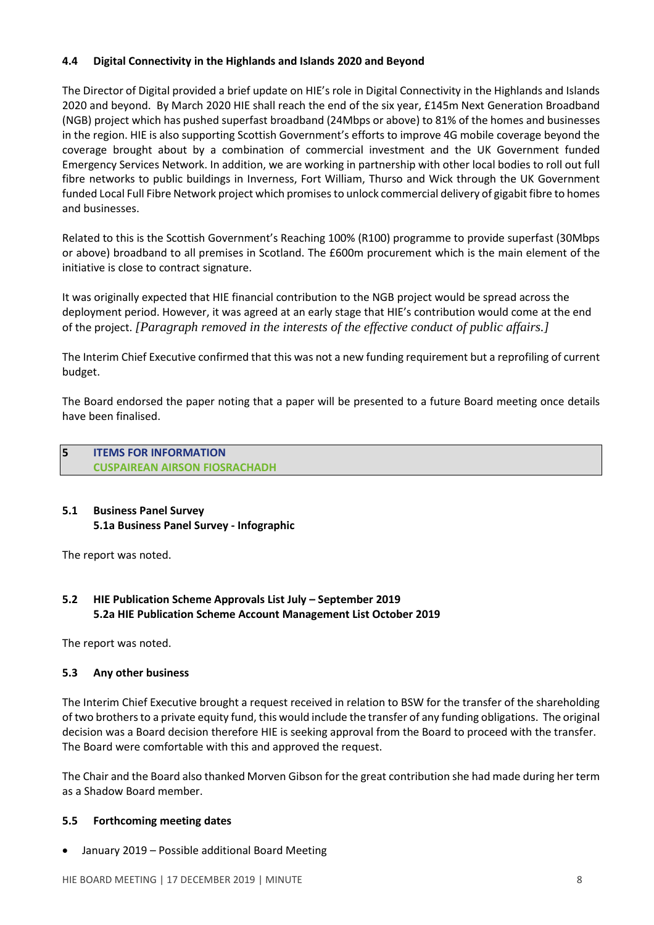# **4.4 Digital Connectivity in the Highlands and Islands 2020 and Beyond**

The Director of Digital provided a brief update on HIE's role in Digital Connectivity in the Highlands and Islands 2020 and beyond. By March 2020 HIE shall reach the end of the six year, £145m Next Generation Broadband (NGB) project which has pushed superfast broadband (24Mbps or above) to 81% of the homes and businesses in the region. HIE is also supporting Scottish Government's efforts to improve 4G mobile coverage beyond the coverage brought about by a combination of commercial investment and the UK Government funded Emergency Services Network. In addition, we are working in partnership with other local bodies to roll out full fibre networks to public buildings in Inverness, Fort William, Thurso and Wick through the UK Government funded Local Full Fibre Network project which promisesto unlock commercial delivery of gigabit fibre to homes and businesses.

Related to this is the Scottish Government's Reaching 100% (R100) programme to provide superfast (30Mbps or above) broadband to all premises in Scotland. The £600m procurement which is the main element of the initiative is close to contract signature.

It was originally expected that HIE financial contribution to the NGB project would be spread across the deployment period. However, it was agreed at an early stage that HIE's contribution would come at the end of the project. *[Paragraph removed in the interests of the effective conduct of public affairs.]*

The Interim Chief Executive confirmed that this was not a new funding requirement but a reprofiling of current budget.

The Board endorsed the paper noting that a paper will be presented to a future Board meeting once details have been finalised.

**5 ITEMS FOR INFORMATION CUSPAIREAN AIRSON FIOSRACHADH**

# **5.1 Business Panel Survey 5.1a Business Panel Survey - Infographic**

The report was noted.

# **5.2 HIE Publication Scheme Approvals List July – September 2019 5.2a HIE Publication Scheme Account Management List October 2019**

The report was noted.

#### **5.3 Any other business**

The Interim Chief Executive brought a request received in relation to BSW for the transfer of the shareholding of two brothersto a private equity fund, this would include the transfer of any funding obligations. The original decision was a Board decision therefore HIE is seeking approval from the Board to proceed with the transfer. The Board were comfortable with this and approved the request.

The Chair and the Board also thanked Morven Gibson for the great contribution she had made during her term as a Shadow Board member.

#### **5.5 Forthcoming meeting dates**

• January 2019 – Possible additional Board Meeting